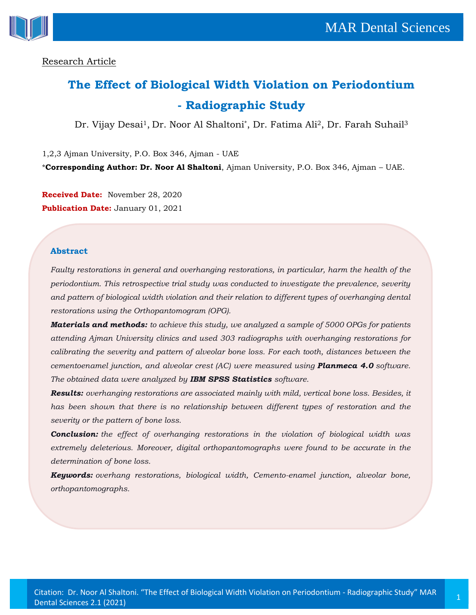

## Research Article

# **The Effect of Biological Width Violation on Periodontium - Radiographic Study**

Dr. Vijay Desai<sup>1</sup>, Dr. Noor Al Shaltoni\*, Dr. Fatima Ali<sup>2</sup>, Dr. Farah Suhail<sup>3</sup>

1,2,3 Ajman University, P.O. Box 346, Ajman - UAE

\***Corresponding Author: Dr. Noor Al Shaltoni**, Ajman University, P.O. Box 346, Ajman – UAE.

**Received Date:** November 28, 2020 **Publication Date:** January 01, 2021

#### **Abstract**

*Faulty restorations in general and overhanging restorations, in particular, harm the health of the periodontium. This retrospective trial study was conducted to investigate the prevalence, severity and pattern of biological width violation and their relation to different types of overhanging dental restorations using the Orthopantomogram (OPG).*

*Materials and methods: to achieve this study, we analyzed a sample of 5000 OPGs for patients attending Ajman University clinics and used 303 radiographs with overhanging restorations for calibrating the severity and pattern of alveolar bone loss. For each tooth, distances between the cementoenamel junction, and alveolar crest (AC) were measured using Planmeca 4.0 software. The obtained data were analyzed by IBM SPSS Statistics software.*

*Results: overhanging restorations are associated mainly with mild, vertical bone loss. Besides, it has been shown that there is no relationship between different types of restoration and the severity or the pattern of bone loss.*

*Conclusion: the effect of overhanging restorations in the violation of biological width was extremely deleterious. Moreover, digital orthopantomographs were found to be accurate in the determination of bone loss.*

*Keywords: overhang restorations, biological width, Cemento-enamel junction, alveolar bone, orthopantomographs.*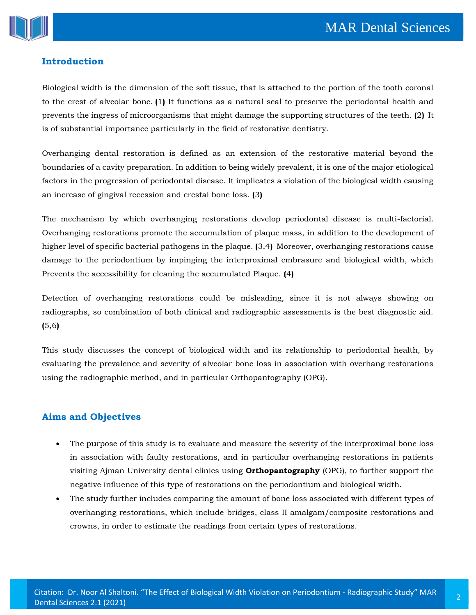

# **Introduction**

Biological width is the dimension of the soft tissue, that is attached to the portion of the tooth coronal to the crest of alveolar bone. **(**1**)** It functions as a natural seal to preserve the periodontal health and prevents the ingress of microorganisms that might damage the supporting structures of the teeth. **(**2**)** It is of substantial importance particularly in the field of restorative dentistry.

Overhanging dental restoration is defined as an extension of the restorative material beyond the boundaries of a cavity preparation. In addition to being widely prevalent, it is one of the major etiological factors in the progression of periodontal disease. It implicates a violation of the biological width causing an increase of gingival recession and crestal bone loss. **(**3**)**

The mechanism by which overhanging restorations develop periodontal disease is multi-factorial. Overhanging restorations promote the accumulation of plaque mass, in addition to the development of higher level of specific bacterial pathogens in the plaque. **(**3,4**)** Moreover, overhanging restorations cause damage to the periodontium by impinging the interproximal embrasure and biological width, which Prevents the accessibility for cleaning the accumulated Plaque. **(**4**)**

Detection of overhanging restorations could be misleading, since it is not always showing on radiographs, so combination of both clinical and radiographic assessments is the best diagnostic aid. **(**5,6**)**

This study discusses the concept of biological width and its relationship to periodontal health, by evaluating the prevalence and severity of alveolar bone loss in association with overhang restorations using the radiographic method, and in particular Orthopantography (OPG).

# **Aims and Objectives**

- The purpose of this study is to evaluate and measure the severity of the interproximal bone loss in association with faulty restorations, and in particular overhanging restorations in patients visiting Ajman University dental clinics using **Orthopantography** (OPG), to further support the negative influence of this type of restorations on the periodontium and biological width.
- The study further includes comparing the amount of bone loss associated with different types of overhanging restorations, which include bridges, class II amalgam/composite restorations and crowns, in order to estimate the readings from certain types of restorations.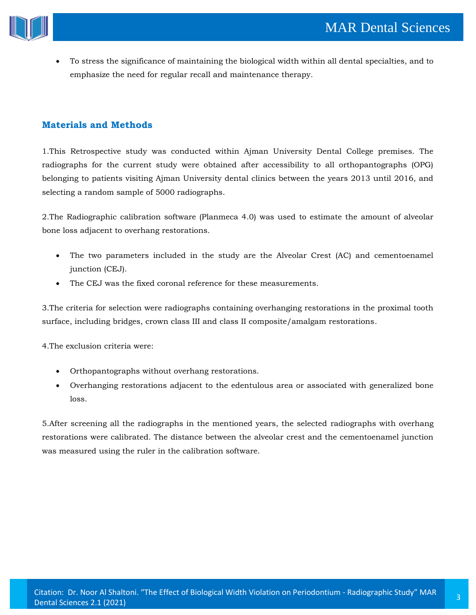

• To stress the significance of maintaining the biological width within all dental specialties, and to emphasize the need for regular recall and maintenance therapy.

## **Materials and Methods**

1.This Retrospective study was conducted within Ajman University Dental College premises. The radiographs for the current study were obtained after accessibility to all orthopantographs (OPG) belonging to patients visiting Ajman University dental clinics between the years 2013 until 2016, and selecting a random sample of 5000 radiographs.

2.The Radiographic calibration software (Planmeca 4.0) was used to estimate the amount of alveolar bone loss adjacent to overhang restorations.

- The two parameters included in the study are the Alveolar Crest (AC) and cementoenamel junction (CEJ).
- The CEJ was the fixed coronal reference for these measurements.

3.The criteria for selection were radiographs containing overhanging restorations in the proximal tooth surface, including bridges, crown class III and class II composite/amalgam restorations.

4.The exclusion criteria were:

- Orthopantographs without overhang restorations.
- Overhanging restorations adjacent to the edentulous area or associated with generalized bone loss.

5.After screening all the radiographs in the mentioned years, the selected radiographs with overhang restorations were calibrated. The distance between the alveolar crest and the cementoenamel junction was measured using the ruler in the calibration software.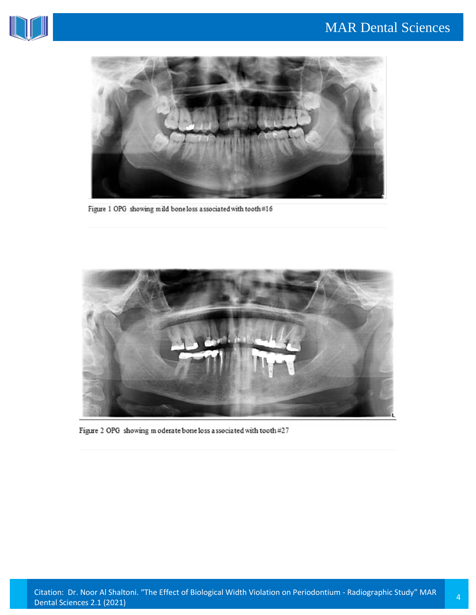



Figure 1 OPG showing mild boneloss associated with tooth#16



Figure 2 OPG showing m oderate bone loss associated with tooth #27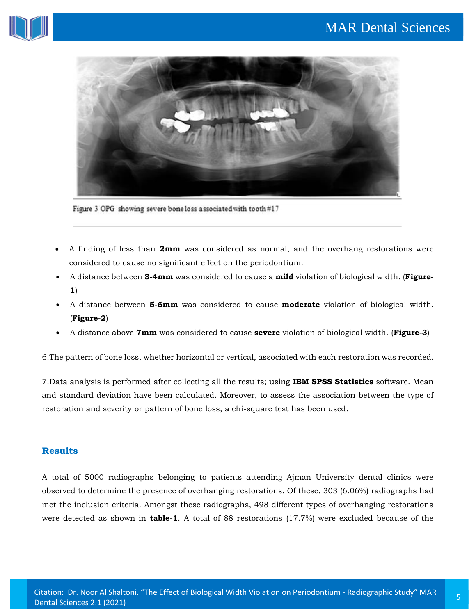



Figure 3 OPG showing severe bone loss associated with tooth#17

- A finding of less than **2mm** was considered as normal, and the overhang restorations were considered to cause no significant effect on the periodontium.
- A distance between **3-4mm** was considered to cause a **mild** violation of biological width. (**Figure-1**)
- A distance between **5-6mm** was considered to cause **moderate** violation of biological width. (**Figure-2**)
- A distance above **7mm** was considered to cause **severe** violation of biological width. (**Figure-3**)

6.The pattern of bone loss, whether horizontal or vertical, associated with each restoration was recorded.

7.Data analysis is performed after collecting all the results; using **IBM SPSS Statistics** software. Mean and standard deviation have been calculated. Moreover, to assess the association between the type of restoration and severity or pattern of bone loss, a chi-square test has been used.

## **Results**

A total of 5000 radiographs belonging to patients attending Ajman University dental clinics were observed to determine the presence of overhanging restorations. Of these, 303 (6.06%) radiographs had met the inclusion criteria. Amongst these radiographs, 498 different types of overhanging restorations were detected as shown in **table-1**. A total of 88 restorations (17.7%) were excluded because of the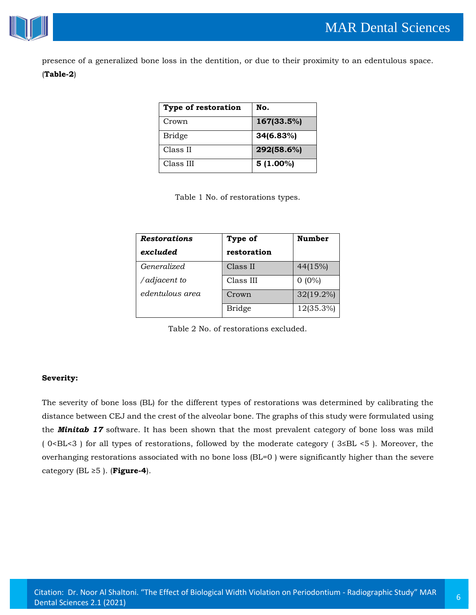

presence of a generalized bone loss in the dentition, or due to their proximity to an edentulous space.

## (**Table-2**)

| Type of restoration | No.         |
|---------------------|-------------|
| Crown               | 167(33.5%)  |
| <b>Bridge</b>       | 34(6.83%)   |
| Class II            | 292(58.6%)  |
| Class III           | $5(1.00\%)$ |

Table 1 No. of restorations types.

| <b>Restorations</b> | Type of       | <b>Number</b> |
|---------------------|---------------|---------------|
| excluded            | restoration   |               |
| <i>Generalized</i>  | Class II      | 44(15%)       |
| /adjacent to        | Class III     | $0(0\%)$      |
| edentulous area     | Crown         | $32(19.2\%)$  |
|                     | <b>Bridge</b> | 12(35.3%)     |

Table 2 No. of restorations excluded.

#### **Severity:**

The severity of bone loss (BL) for the different types of restorations was determined by calibrating the distance between CEJ and the crest of the alveolar bone. The graphs of this study were formulated using the *Minitab 17* software. It has been shown that the most prevalent category of bone loss was mild ( 0<BL<3 ) for all types of restorations, followed by the moderate category ( 3≤BL <5 ). Moreover, the overhanging restorations associated with no bone loss (BL=0 ) were significantly higher than the severe category (BL ≥5 ). (**Figure-4**).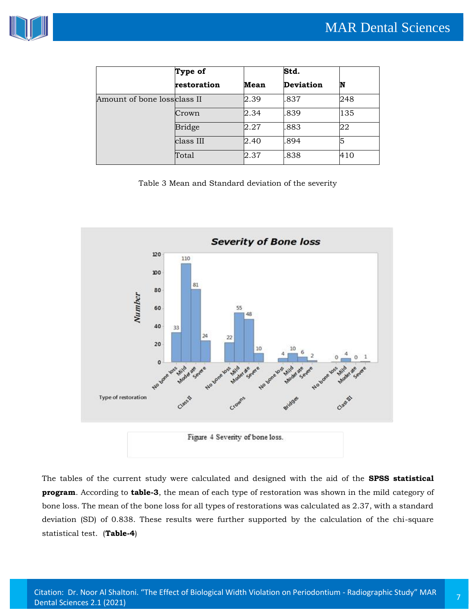

|                              | Type of       |      | Std.             |     |
|------------------------------|---------------|------|------------------|-----|
|                              | restoration   | Mean | <b>Deviation</b> | N   |
| Amount of bone loss class II |               | 2.39 | .837             | 248 |
|                              | Crown         | 2.34 | .839             | 135 |
|                              | <b>Bridge</b> | 2.27 | .883             | 22  |
|                              | class III     | 2.40 | .894             | 5   |
|                              | Total         | 2.37 | .838             | 410 |

Table 3 Mean and Standard deviation of the severity



Figure 4 Severity of bone loss.

The tables of the current study were calculated and designed with the aid of the **SPSS statistical program**. According to **table-3**, the mean of each type of restoration was shown in the mild category of bone loss. The mean of the bone loss for all types of restorations was calculated as 2.37, with a standard deviation (SD) of 0.838. These results were further supported by the calculation of the chi-square statistical test. (**Table-4**)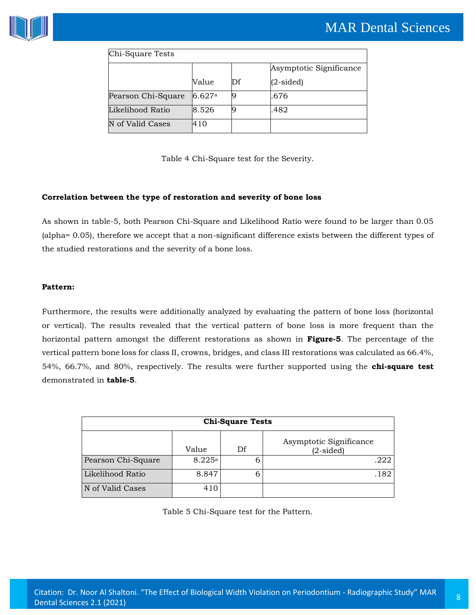

| Chi-Square Tests   |        |    |                         |
|--------------------|--------|----|-------------------------|
|                    |        |    | Asymptotic Significance |
|                    | Value  | Df | $(2\t{-sided})$         |
| Pearson Chi-Square | 6.627a |    | .676                    |
| Likelihood Ratio   | 8.526  |    | .482                    |
| N of Valid Cases   | 410    |    |                         |

Table 4 Chi-Square test for the Severity.

#### **Correlation between the type of restoration and severity of bone loss**

As shown in table-5, both Pearson Chi-Square and Likelihood Ratio were found to be larger than 0.05 (alpha= 0.05), therefore we accept that a non-significant difference exists between the different types of the studied restorations and the severity of a bone loss.

#### **Pattern:**

Furthermore, the results were additionally analyzed by evaluating the pattern of bone loss (horizontal or vertical). The results revealed that the vertical pattern of bone loss is more frequent than the horizontal pattern amongst the different restorations as shown in **Figure-5**. The percentage of the vertical pattern bone loss for class II, crowns, bridges, and class III restorations was calculated as 66.4%, 54%, 66.7%, and 80%, respectively. The results were further supported using the **chi-square test** demonstrated in **table-5**.

| <b>Chi-Square Tests</b> |        |    |                                        |  |
|-------------------------|--------|----|----------------------------------------|--|
|                         | Value  | Df | Asymptotic Significance<br>$(2-sided)$ |  |
| Pearson Chi-Square      | 8.225a | 6  | .222                                   |  |
| Likelihood Ratio        | 8.847  | b  | .182                                   |  |
| N of Valid Cases        | 410    |    |                                        |  |

Table 5 Chi-Square test for the Pattern.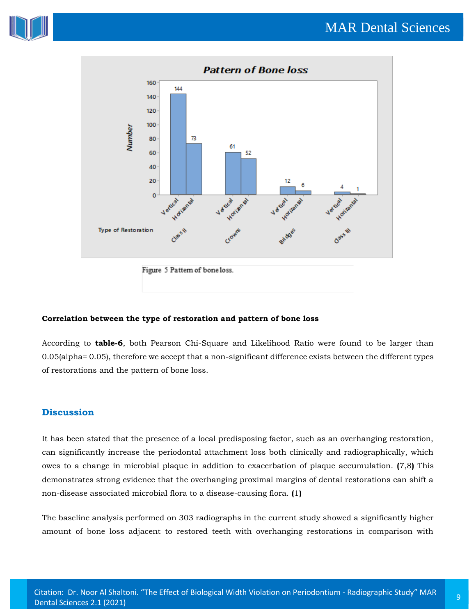



Figure 5 Pattern of bone loss.

#### **Correlation between the type of restoration and pattern of bone loss**

According to **table-6**, both Pearson Chi-Square and Likelihood Ratio were found to be larger than 0.05(alpha= 0.05), therefore we accept that a non-significant difference exists between the different types of restorations and the pattern of bone loss.

## **Discussion**

It has been stated that the presence of a local predisposing factor, such as an overhanging restoration, can significantly increase the periodontal attachment loss both clinically and radiographically, which owes to a change in microbial plaque in addition to exacerbation of plaque accumulation. **(**7,8**)** This demonstrates strong evidence that the overhanging proximal margins of dental restorations can shift a non-disease associated microbial flora to a disease-causing flora. **(**1**)**

The baseline analysis performed on 303 radiographs in the current study showed a significantly higher amount of bone loss adjacent to restored teeth with overhanging restorations in comparison with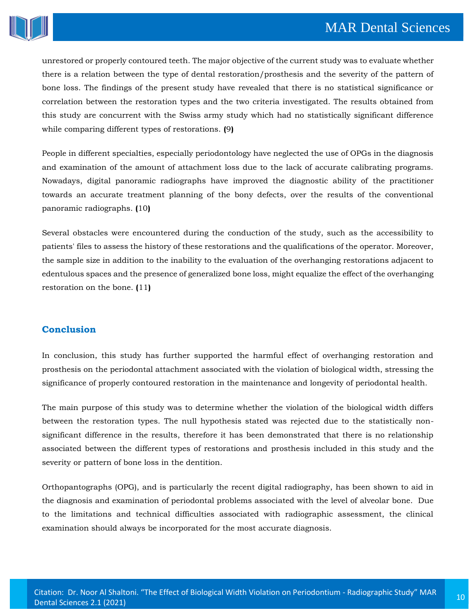

unrestored or properly contoured teeth. The major objective of the current study was to evaluate whether there is a relation between the type of dental restoration/prosthesis and the severity of the pattern of bone loss. The findings of the present study have revealed that there is no statistical significance or correlation between the restoration types and the two criteria investigated. The results obtained from this study are concurrent with the Swiss army study which had no statistically significant difference while comparing different types of restorations. **(**9**)**

People in different specialties, especially periodontology have neglected the use of OPGs in the diagnosis and examination of the amount of attachment loss due to the lack of accurate calibrating programs. Nowadays, digital panoramic radiographs have improved the diagnostic ability of the practitioner towards an accurate treatment planning of the bony defects, over the results of the conventional panoramic radiographs. **(**10**)**

Several obstacles were encountered during the conduction of the study, such as the accessibility to patients' files to assess the history of these restorations and the qualifications of the operator. Moreover, the sample size in addition to the inability to the evaluation of the overhanging restorations adjacent to edentulous spaces and the presence of generalized bone loss, might equalize the effect of the overhanging restoration on the bone. **(**11**)**

## **Conclusion**

In conclusion, this study has further supported the harmful effect of overhanging restoration and prosthesis on the periodontal attachment associated with the violation of biological width, stressing the significance of properly contoured restoration in the maintenance and longevity of periodontal health.

The main purpose of this study was to determine whether the violation of the biological width differs between the restoration types. The null hypothesis stated was rejected due to the statistically nonsignificant difference in the results, therefore it has been demonstrated that there is no relationship associated between the different types of restorations and prosthesis included in this study and the severity or pattern of bone loss in the dentition.

Orthopantographs (OPG), and is particularly the recent digital radiography, has been shown to aid in the diagnosis and examination of periodontal problems associated with the level of alveolar bone. Due to the limitations and technical difficulties associated with radiographic assessment, the clinical examination should always be incorporated for the most accurate diagnosis.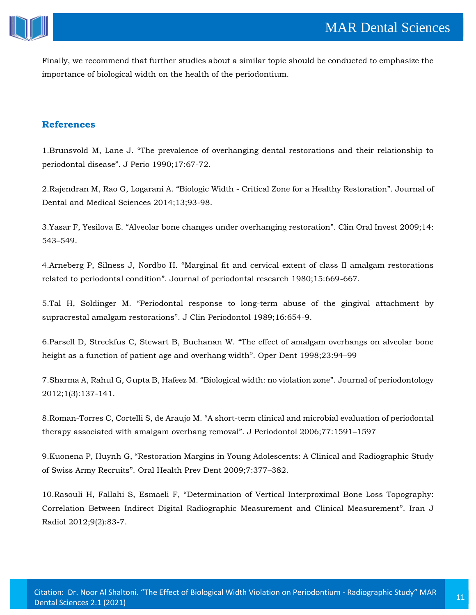

Finally, we recommend that further studies about a similar topic should be conducted to emphasize the importance of biological width on the health of the periodontium.

# **References**

1.Brunsvold M, Lane J. "[The prevalence of overhanging dental restorations and their relationship to](https://www.google.com/search?q=The+prevalence+of+overhanging+dental+restorations+and+their+relationship+to+periodontal+disease&oq=The+prevalence+of+overhanging+dental+restorations+and+their+relationship+to+periodontal+disease&aqs=chrome..69i57.1130j0j7&sourceid=chrome&ie=UTF-8)  periodontal disease"[. J Perio 1990;17:67-72.](https://www.google.com/search?q=The+prevalence+of+overhanging+dental+restorations+and+their+relationship+to+periodontal+disease&oq=The+prevalence+of+overhanging+dental+restorations+and+their+relationship+to+periodontal+disease&aqs=chrome..69i57.1130j0j7&sourceid=chrome&ie=UTF-8)

2.Rajendran M, Rao G, Logarani A. "Biologic Width - [Critical Zone for a Healthy Restoration](https://www.google.com/search?sxsrf=ALeKk0257MpRMnoXVC8boJs-HHm3P0Dlww%3A1606987732865&ei=1K_IX5m8NOeV4-EPgsK2YA&q=Biologic+Width+-+Critical+Zone+for+a+Healthy+Restoration&oq=Biologic+Width+-+Critical+Zone+for+a+Healthy+Restoration&gs_lcp=CgZwc3ktYWIQAzoHCCMQ6gIQJ1DGuQFYxrkBYJK9AWgBcAF4AIABzAGIAcwBkgEDMi0xmAEAoAEBoAECqgEHZ3dzLXdperABCsABAQ&sclient=psy-ab&ved=0ahUKEwiZ9ubnv7HtAhXnyjgGHQKhDQwQ4dUDCA0&uact=5)". Journal of [Dental and Medical Sciences 2014;13;93-98.](https://www.google.com/search?sxsrf=ALeKk0257MpRMnoXVC8boJs-HHm3P0Dlww%3A1606987732865&ei=1K_IX5m8NOeV4-EPgsK2YA&q=Biologic+Width+-+Critical+Zone+for+a+Healthy+Restoration&oq=Biologic+Width+-+Critical+Zone+for+a+Healthy+Restoration&gs_lcp=CgZwc3ktYWIQAzoHCCMQ6gIQJ1DGuQFYxrkBYJK9AWgBcAF4AIABzAGIAcwBkgEDMi0xmAEAoAEBoAECqgEHZ3dzLXdperABCsABAQ&sclient=psy-ab&ved=0ahUKEwiZ9ubnv7HtAhXnyjgGHQKhDQwQ4dUDCA0&uact=5) 

3.Yasar F, Yesilova E. "[Alveolar bone changes under overhanging restoration](https://www.google.com/search?sxsrf=ALeKk03GwTWX9Yo1nJmt67mt4tMYqwPG6Q%3A1606987758947&ei=7q_IX-y9Oeea4-EP0K-ksAk&q=Alveolar+bone+changes+under+overhanging+restoration&oq=Alveolar+bone+changes+under+overhanging+restoration&gs_lcp=CgZwc3ktYWIQAzoHCCMQ6gIQJ1CpjQFYqY0BYOyQAWgBcAF4AIAB8QGIAfEBkgEDMi0xmAEAoAEBoAECqgEHZ3dzLXdperABCsABAQ&sclient=psy-ab&ved=0ahUKEwjs7J70v7HtAhVnzTgGHdAXCZYQ4dUDCA0&uact=5)". Clin Oral Invest 2009;14: 543–[549.](https://www.google.com/search?sxsrf=ALeKk03GwTWX9Yo1nJmt67mt4tMYqwPG6Q%3A1606987758947&ei=7q_IX-y9Oeea4-EP0K-ksAk&q=Alveolar+bone+changes+under+overhanging+restoration&oq=Alveolar+bone+changes+under+overhanging+restoration&gs_lcp=CgZwc3ktYWIQAzoHCCMQ6gIQJ1CpjQFYqY0BYOyQAWgBcAF4AIAB8QGIAfEBkgEDMi0xmAEAoAEBoAECqgEHZ3dzLXdperABCsABAQ&sclient=psy-ab&ved=0ahUKEwjs7J70v7HtAhVnzTgGHdAXCZYQ4dUDCA0&uact=5)

4.Arneberg P, Silness J, Nordbo H. "[Marginal fit and cervical extent of class II amalgam restorations](https://www.google.com/search?sxsrf=ALeKk024OL5DqcnDBXnqWGO4mR5HlMw3KQ%3A1606987778676&ei=ArDIX_bxKLCM4-EPqOiA0AI&q=Marginal+fit+and+cervical+extent+of+class+II+amalgam+restorations+related+to+periodontal+condition&oq=Marginal+fit+and+cervical+extent+of+class+II+amalgam+restorations+related+to+periodontal+condition&gs_lcp=CgZwc3ktYWIQAzoHCCMQ6gIQJ1DPqQFYz6kBYLytAWgBcAB4AIABpgGIAaYBkgEDMC4xmAEAoAEBoAECqgEHZ3dzLXdperABCsABAQ&sclient=psy-ab&ved=0ahUKEwj2-tL9v7HtAhUwxjgGHSg0ACoQ4dUDCA0&uact=5)  related to periodontal condition"[. Journal of periodontal research 1980;15:669-667.](https://www.google.com/search?sxsrf=ALeKk024OL5DqcnDBXnqWGO4mR5HlMw3KQ%3A1606987778676&ei=ArDIX_bxKLCM4-EPqOiA0AI&q=Marginal+fit+and+cervical+extent+of+class+II+amalgam+restorations+related+to+periodontal+condition&oq=Marginal+fit+and+cervical+extent+of+class+II+amalgam+restorations+related+to+periodontal+condition&gs_lcp=CgZwc3ktYWIQAzoHCCMQ6gIQJ1DPqQFYz6kBYLytAWgBcAB4AIABpgGIAaYBkgEDMC4xmAEAoAEBoAECqgEHZ3dzLXdperABCsABAQ&sclient=psy-ab&ved=0ahUKEwj2-tL9v7HtAhUwxjgGHSg0ACoQ4dUDCA0&uact=5)

5.Tal H, Soldinger M. "[Periodontal response to long-term abuse of the gingival attachment by](https://www.google.com/search?sxsrf=ALeKk02cYjfOJskxW7orfvenDYUwGj6c3A%3A1606987802033&ei=GrDIX5jQAduU4-EP57uHkAE&q=Periodontal+response+to+long-term+abuse+of+the+gingival+attachment+by+supracrestal+amalgam+restorations&oq=Periodontal+response+to+long-term+abuse+of+the+gingival+attachment+by+supracrestal+amalgam+restorations&gs_lcp=CgZwc3ktYWIQAzIHCCMQ6gIQJzIHCCMQ6gIQJzIHCCMQ6gIQJzIHCCMQ6gIQJzIHCCMQ6gIQJzIHCCMQ6gIQJzIHCCMQ6gIQJzIHCCMQ6gIQJzIHCCMQ6gIQJzIHCCMQ6gIQJ1C9gwlYvYMJYJaHCWgBcAB4AIABAIgBAJIBAJgBAKABAaABAqoBB2d3cy13aXqwAQrAAQE&sclient=psy-ab&ved=0ahUKEwiYxeSIwLHtAhVbyjgGHefdARIQ4dUDCA0&uact=5)  supracrestal amalgam restorations"[. J Clin Periodontol 1989;16:654-9.](https://www.google.com/search?sxsrf=ALeKk02cYjfOJskxW7orfvenDYUwGj6c3A%3A1606987802033&ei=GrDIX5jQAduU4-EP57uHkAE&q=Periodontal+response+to+long-term+abuse+of+the+gingival+attachment+by+supracrestal+amalgam+restorations&oq=Periodontal+response+to+long-term+abuse+of+the+gingival+attachment+by+supracrestal+amalgam+restorations&gs_lcp=CgZwc3ktYWIQAzIHCCMQ6gIQJzIHCCMQ6gIQJzIHCCMQ6gIQJzIHCCMQ6gIQJzIHCCMQ6gIQJzIHCCMQ6gIQJzIHCCMQ6gIQJzIHCCMQ6gIQJzIHCCMQ6gIQJzIHCCMQ6gIQJ1C9gwlYvYMJYJaHCWgBcAB4AIABAIgBAJIBAJgBAKABAaABAqoBB2d3cy13aXqwAQrAAQE&sclient=psy-ab&ved=0ahUKEwiYxeSIwLHtAhVbyjgGHefdARIQ4dUDCA0&uact=5)

6.Parsell D, Streckfus C, Stewart B, Buchanan W. "[The effect of amalgam overhangs on alveolar bone](https://www.google.com/search?sxsrf=ALeKk02KQ_6PeUmSGveaAcrWoJNxuwSZ9Q%3A1606987951487&ei=r7DIX_GeHeqK4-EP1rOgiAI&q=The+effect+of+amalgam+overhangs+on+alveolar+bone+height+as+a+function+of+patient+age+and+overhang+width&oq=The+effect+of+amalgam+overhangs+on+alveolar+bone+height+as+a+function+of+patient+age+and+overhang+width&gs_lcp=CgZwc3ktYWIQAzIHCCMQ6gIQJzIHCCMQ6gIQJzIHCCMQ6gIQJzIHCCMQ6gIQJzIHCCMQ6gIQJzIHCCMQ6gIQJzIHCCMQ6gIQJzIHCCMQ6gIQJzIHCCMQ6gIQJzIHCCMQ6gIQJ1CjmAFYo5gBYLubAWgBcAB4AIABAIgBAJIBAJgBAKABAaABAqoBB2d3cy13aXqwAQrAAQE&sclient=psy-ab&ved=0ahUKEwixsobQwLHtAhVqxTgGHdYZCCEQ4dUDCA0&uact=5)  [height as a function of patient age and overhang width](https://www.google.com/search?sxsrf=ALeKk02KQ_6PeUmSGveaAcrWoJNxuwSZ9Q%3A1606987951487&ei=r7DIX_GeHeqK4-EP1rOgiAI&q=The+effect+of+amalgam+overhangs+on+alveolar+bone+height+as+a+function+of+patient+age+and+overhang+width&oq=The+effect+of+amalgam+overhangs+on+alveolar+bone+height+as+a+function+of+patient+age+and+overhang+width&gs_lcp=CgZwc3ktYWIQAzIHCCMQ6gIQJzIHCCMQ6gIQJzIHCCMQ6gIQJzIHCCMQ6gIQJzIHCCMQ6gIQJzIHCCMQ6gIQJzIHCCMQ6gIQJzIHCCMQ6gIQJzIHCCMQ6gIQJzIHCCMQ6gIQJ1CjmAFYo5gBYLubAWgBcAB4AIABAIgBAJIBAJgBAKABAaABAqoBB2d3cy13aXqwAQrAAQE&sclient=psy-ab&ved=0ahUKEwixsobQwLHtAhVqxTgGHdYZCCEQ4dUDCA0&uact=5)". Oper Dent 1998;23:94–99

7[.Sharma A, Rahul G, Gupta B, Hafeez M.](https://www.google.com/search?sxsrf=ALeKk00X0WPBBbwmcv0qzsqIp68sYFi_1g%3A1606987973012&ei=xbDIX9Iqz4bj4Q-khInADw&q=Biological+width%3A+no+violation+zone&oq=Biological+width%3A+no+violation+zone&gs_lcp=CgZwc3ktYWIQAzIFCCEQoAE6BwgjEOoCECdQ-rsBWPq7AWCxvgFoAXAAeACAAeABiAHgAZIBAzItMZgBAKABAaABAqoBB2d3cy13aXqwAQrAAQE&sclient=psy-ab&ved=0ahUKEwiSoajawLHtAhVPwzgGHSRCAvgQ4dUDCA0&uact=5) "Biological width: no violation zone". Journal of periodontology [2012;1\(3\):137-141.](https://www.google.com/search?sxsrf=ALeKk00X0WPBBbwmcv0qzsqIp68sYFi_1g%3A1606987973012&ei=xbDIX9Iqz4bj4Q-khInADw&q=Biological+width%3A+no+violation+zone&oq=Biological+width%3A+no+violation+zone&gs_lcp=CgZwc3ktYWIQAzIFCCEQoAE6BwgjEOoCECdQ-rsBWPq7AWCxvgFoAXAAeACAAeABiAHgAZIBAzItMZgBAKABAaABAqoBB2d3cy13aXqwAQrAAQE&sclient=psy-ab&ved=0ahUKEwiSoajawLHtAhVPwzgGHSRCAvgQ4dUDCA0&uact=5)

8.Roman-Torres C, Cortelli S, de Araujo M. "[A short-term clinical and microbial evaluation of periodontal](https://www.google.com/search?sxsrf=ALeKk02AhJmFGAOOKrSqvRJOX2ZDCBsoTQ%3A1606987998874&ei=3rDIX4WGNcSE4-EPtI236Ag&q=A+short-term+clinical+and+microbial+evaluation+of+periodontal+therapy+associated+with+amalgam+overhang+removal&oq=A+short-term+clinical+and+microbial+evaluation+of+periodontal+therapy+associated+with+amalgam+overhang+removal&gs_lcp=CgZwc3ktYWIQAzIHCCMQ6gIQJzIHCCMQ6gIQJzIHCCMQ6gIQJzIHCCMQ6gIQJzIHCCMQ6gIQJzIHCCMQ6gIQJzIHCCMQ6gIQJzIHCCMQ6gIQJzIHCCMQ6gIQJzIHCCMQ6gIQJ1Dd_AFY3fwBYMH_AWgBcAF4AIABAIgBAJIBAJgBAKABAaABAqoBB2d3cy13aXqwAQrAAQE&sclient=psy-ab&ved=0ahUKEwiF7dLmwLHtAhVEwjgGHbTGDY0Q4dUDCA0&uact=5)  [therapy associated with amalgam overhang removal](https://www.google.com/search?sxsrf=ALeKk02AhJmFGAOOKrSqvRJOX2ZDCBsoTQ%3A1606987998874&ei=3rDIX4WGNcSE4-EPtI236Ag&q=A+short-term+clinical+and+microbial+evaluation+of+periodontal+therapy+associated+with+amalgam+overhang+removal&oq=A+short-term+clinical+and+microbial+evaluation+of+periodontal+therapy+associated+with+amalgam+overhang+removal&gs_lcp=CgZwc3ktYWIQAzIHCCMQ6gIQJzIHCCMQ6gIQJzIHCCMQ6gIQJzIHCCMQ6gIQJzIHCCMQ6gIQJzIHCCMQ6gIQJzIHCCMQ6gIQJzIHCCMQ6gIQJzIHCCMQ6gIQJzIHCCMQ6gIQJ1Dd_AFY3fwBYMH_AWgBcAF4AIABAIgBAJIBAJgBAKABAaABAqoBB2d3cy13aXqwAQrAAQE&sclient=psy-ab&ved=0ahUKEwiF7dLmwLHtAhVEwjgGHbTGDY0Q4dUDCA0&uact=5)". J Periodontol 2006;77:1591–1597

9.Kuonena P, Huynh G, "[Restoration Margins in Young Adolescents: A Clinical and Radiographic Study](https://www.google.com/search?sxsrf=ALeKk00RQUPuQwqvzzK6_PSXClx5PuDIsg%3A1606988032683&ei=ALHIX4GSKeWG4-EPifWE0Ac&q=Restoration+Margins+in+Young+Adolescents%3A+A+Clinical+and+Radiographic+Study+of+Swiss+Army+Recruits&oq=Restoration+Margins+in+Young+Adolescents%3A+A+Clinical+and+Radiographic+Study+of+Swiss+Army+Recruits&gs_lcp=CgZwc3ktYWIQAzoHCCMQ6gIQJ1CfjwFYn48BYMeRAWgBcAB4AIABuwGIAbsBkgEDMC4xmAEAoAEBoAECqgEHZ3dzLXdperABCsABAQ&sclient=psy-ab&ved=0ahUKEwiBkuL2wLHtAhVlwzgGHYk6AXoQ4dUDCA0&uact=5)  of Swiss Army Recruits"[. Oral Health Prev Dent 2009;7:377](https://www.google.com/search?sxsrf=ALeKk00RQUPuQwqvzzK6_PSXClx5PuDIsg%3A1606988032683&ei=ALHIX4GSKeWG4-EPifWE0Ac&q=Restoration+Margins+in+Young+Adolescents%3A+A+Clinical+and+Radiographic+Study+of+Swiss+Army+Recruits&oq=Restoration+Margins+in+Young+Adolescents%3A+A+Clinical+and+Radiographic+Study+of+Swiss+Army+Recruits&gs_lcp=CgZwc3ktYWIQAzoHCCMQ6gIQJ1CfjwFYn48BYMeRAWgBcAB4AIABuwGIAbsBkgEDMC4xmAEAoAEBoAECqgEHZ3dzLXdperABCsABAQ&sclient=psy-ab&ved=0ahUKEwiBkuL2wLHtAhVlwzgGHYk6AXoQ4dUDCA0&uact=5)–382.

10.Rasouli H, Fallahi S, Esmaeli F, "[Determination of Vertical Interproximal Bone Loss Topography:](https://www.google.com/search?sxsrf=ALeKk00DyU8lkcIK9IT5eGPsyK3h7jaHFQ%3A1606988052385&ei=FLHIX6mFF4fF4-EPyZyykAE&q=Determination+of+Vertical+Interproximal+Bone+Loss+Topography%3A+Correlation+Between+Indirect+Digital+Radiographic+Measurement+and+Clinical+Measurement&oq=Determination+of+Vertical+Interproximal+Bone+Loss+Topography%3A+Correlation+Between+Indirect+Digital+Radiographic+Measurement+and+Clinical+Measurement&gs_lcp=CgZwc3ktYWIQAzIHCCMQ6gIQJzIHCCMQ6gIQJzIHCCMQ6gIQJzIHCCMQ6gIQJzIHCCMQ6gIQJzIHCCMQ6gIQJzIHCCMQ6gIQJzIHCCMQ6gIQJzIHCCMQ6gIQJzIHCCMQ6gIQJ1CI4gFYiOIBYLPkAWgBcAB4AIABAIgBAJIBAJgBAKABAaABAqoBB2d3cy13aXqwAQrAAQE&sclient=psy-ab&ved=0ahUKEwip35SAwbHtAhWH4jgGHUmODBIQ4dUDCA0&uact=5)  [Correlation Between Indirect Digital Radiographic Measurement and Clinical Measurement](https://www.google.com/search?sxsrf=ALeKk00DyU8lkcIK9IT5eGPsyK3h7jaHFQ%3A1606988052385&ei=FLHIX6mFF4fF4-EPyZyykAE&q=Determination+of+Vertical+Interproximal+Bone+Loss+Topography%3A+Correlation+Between+Indirect+Digital+Radiographic+Measurement+and+Clinical+Measurement&oq=Determination+of+Vertical+Interproximal+Bone+Loss+Topography%3A+Correlation+Between+Indirect+Digital+Radiographic+Measurement+and+Clinical+Measurement&gs_lcp=CgZwc3ktYWIQAzIHCCMQ6gIQJzIHCCMQ6gIQJzIHCCMQ6gIQJzIHCCMQ6gIQJzIHCCMQ6gIQJzIHCCMQ6gIQJzIHCCMQ6gIQJzIHCCMQ6gIQJzIHCCMQ6gIQJzIHCCMQ6gIQJ1CI4gFYiOIBYLPkAWgBcAB4AIABAIgBAJIBAJgBAKABAaABAqoBB2d3cy13aXqwAQrAAQE&sclient=psy-ab&ved=0ahUKEwip35SAwbHtAhWH4jgGHUmODBIQ4dUDCA0&uact=5)". Iran J [Radiol 2012;9\(2\):83-7.](https://www.google.com/search?sxsrf=ALeKk00DyU8lkcIK9IT5eGPsyK3h7jaHFQ%3A1606988052385&ei=FLHIX6mFF4fF4-EPyZyykAE&q=Determination+of+Vertical+Interproximal+Bone+Loss+Topography%3A+Correlation+Between+Indirect+Digital+Radiographic+Measurement+and+Clinical+Measurement&oq=Determination+of+Vertical+Interproximal+Bone+Loss+Topography%3A+Correlation+Between+Indirect+Digital+Radiographic+Measurement+and+Clinical+Measurement&gs_lcp=CgZwc3ktYWIQAzIHCCMQ6gIQJzIHCCMQ6gIQJzIHCCMQ6gIQJzIHCCMQ6gIQJzIHCCMQ6gIQJzIHCCMQ6gIQJzIHCCMQ6gIQJzIHCCMQ6gIQJzIHCCMQ6gIQJzIHCCMQ6gIQJ1CI4gFYiOIBYLPkAWgBcAB4AIABAIgBAJIBAJgBAKABAaABAqoBB2d3cy13aXqwAQrAAQE&sclient=psy-ab&ved=0ahUKEwip35SAwbHtAhWH4jgGHUmODBIQ4dUDCA0&uact=5)